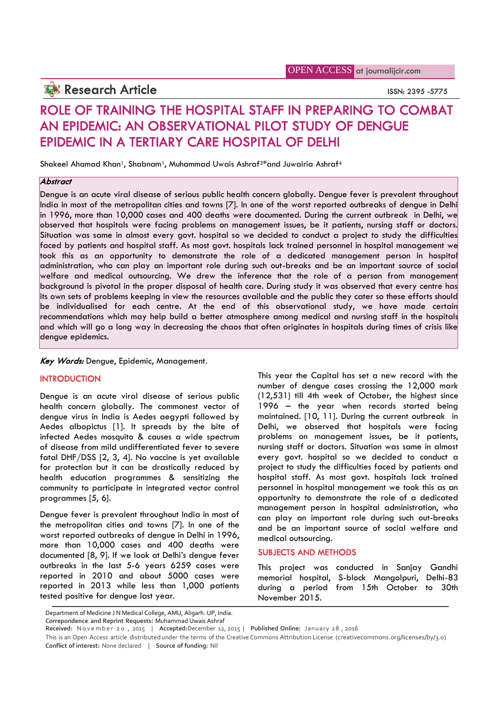## **Research Article ISSN: 2395 -5775**

# **ROLE OF TRAINING THE HOSPITAL STAFF IN PREPARING TO COMBAT AN EPIDEMIC: AN OBSERVATIONAL PILOT STUDY OF DENGUE EPIDEMIC IN A TERTIARY CARE HOSPITAL OF DELHI**

Shakeel Ahamad Khan<sup>1</sup>, Shabnam<sup>1</sup>, Muhammad Uwais Ashraf<sup>3\*</sup>and Juwairia Ashraf<sup>4</sup>

### *Abstract*

Dengue is an acute viral disease of serious public health concern globally. Dengue fever is prevalent throughout India in most of the metropolitan cities and towns [7]. In one of the worst reported outbreaks of dengue in Delhi in 1996, more than 10,000 cases and 400 deaths were documented. During the current outbreak in Delhi, we observed that hospitals were facing problems on management issues, be it patients, nursing staff or doctors. Situation was same in almost every govt. hospital so we decided to conduct a project to study the difficulties faced by patients and hospital staff. As most govt. hospitals lack trained personnel in hospital management we took this as an opportunity to demonstrate the role of a dedicated management person in hospital administration, who can play an important role during such out-breaks and be an important source of social welfare and medical outsourcing. We drew the inference that the role of a person from management background is pivotal in the proper disposal of health care. During study it was observed that every centre has its own sets of problems keeping in view the resources available and the public they cater so these efforts should be individualised for each centre. At the end of this observational study, we have made certain recommendations which may help build a better atmosphere among medical and nursing staff in the hospitals and which will go a long way in decreasing the chaos that often originates in hospitals during times of crisis like dengue epidemics.

*Key Words:* Dengue, Epidemic, Management.

#### **INTRODUCTION**

Dengue is an acute viral disease of serious public health concern globally. The commonest vector of dengue virus in India is Aedes aegypti followed by Aedes albopictus [1]. It spreads by the bite of infected Aedes mosquito & causes a wide spectrum of disease from mild undifferentiated fever to severe fatal DHF/DSS [2, 3, 4]. No vaccine is yet available for protection but it can be drastically reduced by health education programmes & sensitizing the community to participate in integrated vector control programmes [5, 6].

Dengue fever is prevalent throughout India in most of the metropolitan cities and towns [7]. In one of the worst reported outbreaks of dengue in Delhi in 1996, more than 10,000 cases and 400 deaths were documented [8, 9]. If we look at Delhi's dengue fever outbreaks in the last 5-6 years 6259 cases were reported in 2010 and about 5000 cases were reported in 2013 while less than 1,000 patients tested positive for dengue last year.

This year the Capital has set a new record with the number of dengue cases crossing the 12,000 mark (12,531) till 4th week of October, the highest since 1996 – the year when records started being maintained. [10, 11]. During the current outbreak in Delhi, we observed that hospitals were facing problems on management issues, be it patients, nursing staff or doctors. Situation was same in almost every govt. hospital so we decided to conduct a project to study the difficulties faced by patients and hospital staff. As most govt. hospitals lack trained personnel in hospital management we took this as an opportunity to demonstrate the role of a dedicated management person in hospital administration, who can play an important role during such out-breaks and be an important source of social welfare and medical outsourcing.

#### **SUBJECTS AND METHODS**

Exported in 2013 while less inclu 1,000 patients during a period from 15th October to 30th<br>sted positive for dengue last year.<br>Department of Medicine JN Medical College, AMU, Aligarh. UP, India.<br>Correpondence and Reprint R This project was conducted in Sanjay Gandhi memorial hospital, S-block Mangolpuri, Delhi-83 during a period from 15th October to 30th November 2015.

Department of Medicine J N Medical College, AMU, Aligarh. UP, India.

**Correpondence and Reprint Requests:** Muhammad Uwais Ashraf

**Conflict of interest:** None declared | **Source of funding:** Nil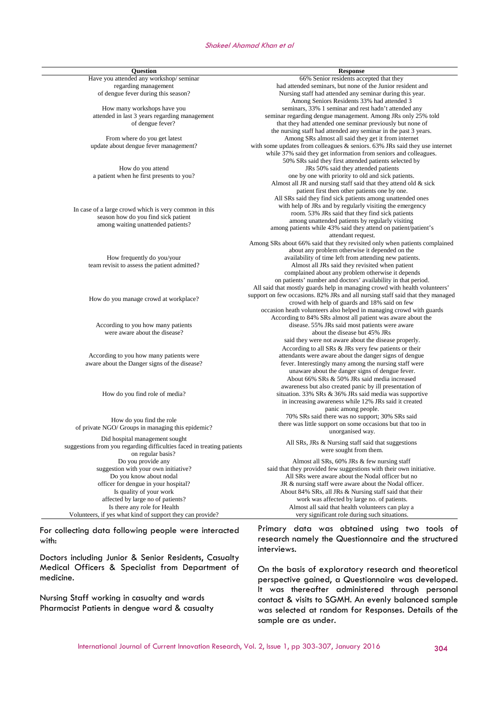#### *Shakeel Ahamad Khan et al*

| <b>Question</b>                                                            | <b>Response</b>                                                                |
|----------------------------------------------------------------------------|--------------------------------------------------------------------------------|
| Have you attended any workshop/seminar                                     | 66% Senior residents accepted that they                                        |
| regarding management                                                       | had attended seminars, but none of the Junior resident and                     |
| of dengue fever during this season?                                        | Nursing staff had attended any seminar during this year.                       |
|                                                                            | Among Seniors Residents 33% had attended 3                                     |
| How many workshops have you                                                | seminars, 33% 1 seminar and rest hadn't attended any                           |
| attended in last 3 years regarding management                              | seminar regarding dengue management. Among JRs only 25% told                   |
| of dengue fever?                                                           | that they had attended one seminar previously but none of                      |
|                                                                            | the nursing staff had attended any seminar in the past 3 years.                |
| From where do you get latest                                               | Among SRs almost all said they get it from internet                            |
| update about dengue fever management?                                      | with some updates from colleagues & seniors. 63% JRs said they use internet    |
|                                                                            |                                                                                |
|                                                                            | while 37% said they get information from seniors and colleagues.               |
|                                                                            | 50% SRs said they first attended patients selected by                          |
| How do you attend                                                          | JRs 50% said they attended patients                                            |
| a patient when he first presents to you?                                   | one by one with priority to old and sick patients.                             |
|                                                                            | Almost all JR and nursing staff said that they attend old & sick               |
|                                                                            | patient first then other patients one by one.                                  |
|                                                                            | All SRs said they find sick patients among unattended ones                     |
| In case of a large crowd which is very common in this                      | with help of JRs and by regularly visiting the emergency                       |
|                                                                            | room. 53% JRs said that they find sick patients                                |
| season how do you find sick patient                                        | among unattended patients by regularly visiting                                |
| among waiting unattended patients?                                         | among patients while 43% said they attend on patient/patient's                 |
|                                                                            | attendant request.                                                             |
| How frequently do you/your<br>team revisit to assess the patient admitted? | Among SRs about 66% said that they revisited only when patients complained     |
|                                                                            | about any problem otherwise it depended on the                                 |
|                                                                            | availability of time left from attending new patients.                         |
|                                                                            | Almost all JRs said they revisited when patient                                |
|                                                                            | complained about any problem otherwise it depends                              |
|                                                                            | on patients' number and doctors' availability in that period.                  |
|                                                                            | All said that mostly guards help in managing crowd with health volunteers'     |
|                                                                            | support on few occasions. 82% JRs and all nursing staff said that they managed |
| How do you manage crowd at workplace?                                      |                                                                                |
|                                                                            | crowd with help of guards and 18% said on few                                  |
|                                                                            | occasion heath volunteers also helped in managing crowd with guards            |
|                                                                            | According to 84% SRs almost all patient was aware about the                    |
| According to you how many patients                                         | disease. 55% JRs said most patients were aware                                 |
| were aware about the disease?                                              | about the disease but 45% JRs                                                  |
|                                                                            | said they were not aware about the disease properly.                           |
|                                                                            | According to all SRs & JRs very few patients or their                          |
| According to you how many patients were                                    | attendants were aware about the danger signs of dengue                         |
| aware about the Danger signs of the disease?                               | fever. Interestingly many among the nursing staff were                         |
|                                                                            | unaware about the danger signs of dengue fever.                                |
| How do you find role of media?                                             | About 66% SRs & 50% JRs said media increased                                   |
|                                                                            | awareness but also created panic by ill presentation of                        |
|                                                                            | situation. 33% SRs & 36% JRs said media was supportive                         |
|                                                                            | in increasing awareness while 12% JRs said it created                          |
|                                                                            | panic among people.                                                            |
|                                                                            | 70% SRs said there was no support; 30% SRs said                                |
| How do you find the role                                                   | there was little support on some occasions but that too in                     |
| of private NGO/ Groups in managing this epidemic?                          | unorganised way.                                                               |
| Did hospital management sought                                             |                                                                                |
| suggestions from you regarding difficulties faced in treating patients     | All SRs, JRs & Nursing staff said that suggestions                             |
| on regular basis?                                                          | were sought from them.                                                         |
| Do you provide any                                                         | Almost all SRs, 60% JRs & few nursing staff                                    |
| suggestion with your own initiative?                                       | said that they provided few suggestions with their own initiative.             |
| Do you know about nodal                                                    | All SRs were aware about the Nodal officer but no                              |
| officer for dengue in your hospital?                                       | JR & nursing staff were aware about the Nodal officer.                         |
| Is quality of your work                                                    |                                                                                |
| affected by large no of patients?                                          | About 84% SRs, all JRs & Nursing staff said that their                         |
|                                                                            | work was affected by large no. of patients.                                    |
| Is there any role for Health                                               | Almost all said that health volunteers can play a                              |
| Volunteers, if yes what kind of support they can provide?                  | very significant role during such situations.                                  |

For collecting data following people were interacted with:

Doctors including Junior & Senior Residents, Casualty Medical Officers & Specialist from Department of medicine.

Nursing Staff working in casualty and wards Pharmacist Patients in dengue ward & casualty

Primary data was obtained using two tools of research namely the Questionnaire and the structured interviews.

On the basis of exploratory research and theoretical perspective gained, a Questionnaire was developed. It was thereafter administered through personal contact & visits to SGMH. An evenly balanced sample was selected at random for Responses. Details of the sample are as under.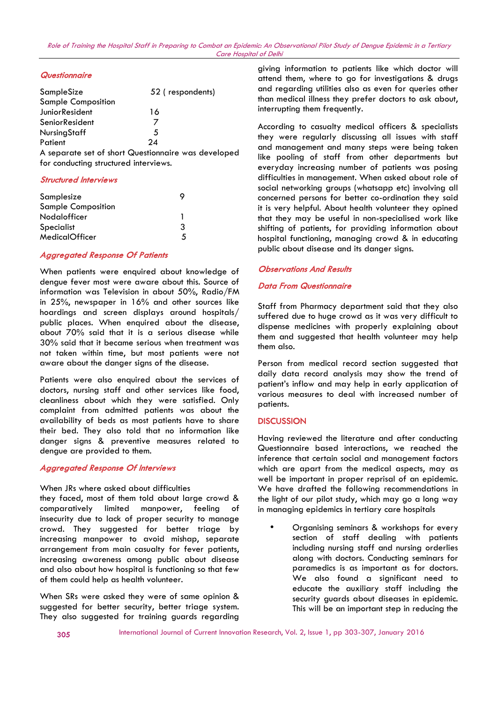#### *Questionnaire*

| SampleSize                | 52 (respondents) |
|---------------------------|------------------|
| <b>Sample Composition</b> |                  |
| JuniorResident            | 16               |
| SeniorResident            |                  |
| <b>NursingStaff</b>       | 5                |
| Patient                   | 24               |

A separate set of short Questionnaire was developed for conducting structured interviews.

#### *Structured Interviews*

| Samplesize<br><b>Sample Composition</b> |   |
|-----------------------------------------|---|
| Nodalofficer                            |   |
| Specialist                              | 3 |
| <b>MedicalOfficer</b>                   | 5 |
|                                         |   |

#### *Aggregated Response Of Patients*

When patients were enquired about knowledge of dengue fever most were aware about this. Source of information was Television in about 50%, Radio/FM in 25%, newspaper in 16% and other sources like hoardings and screen displays around hospitals/ public places. When enquired about the disease, about 70% said that it is a serious disease while 30% said that it became serious when treatment was not taken within time, but most patients were not aware about the danger signs of the disease.

Patients were also enquired about the services of doctors, nursing staff and other services like food, cleanliness about which they were satisfied. Only complaint from admitted patients was about the availability of beds as most patients have to share their bed. They also told that no information like danger signs & preventive measures related to dengue are provided to them.

#### *Aggregated Response Of Interviews*

#### When JRs where asked about difficulties

they faced, most of them told about large crowd & comparatively limited manpower, feeling of insecurity due to lack of proper security to manage crowd. They suggested for better triage by increasing manpower to avoid mishap, separate arrangement from main casualty for fever patients, increasing awareness among public about disease and also about how hospital is functioning so that few of them could help as health volunteer.

When SRs were asked they were of same opinion & suggested for better security, better triage system. They also suggested for training guards regarding giving information to patients like which doctor will attend them, where to go for investigations & drugs and regarding utilities also as even for queries other than medical illness they prefer doctors to ask about, interrupting them frequently.

According to casualty medical officers & specialists they were regularly discussing all issues with staff and management and many steps were being taken like pooling of staff from other departments but everyday increasing number of patients was posing difficulties in management. When asked about role of social networking groups (whatsapp etc) involving all concerned persons for better co-ordination they said it is very helpful. About health volunteer they opined that they may be useful in non-specialised work like shifting of patients, for providing information about hospital functioning, managing crowd & in educating public about disease and its danger signs.

#### *Observations And Results*

#### *Data From Questionnaire*

Staff from Pharmacy department said that they also suffered due to huge crowd as it was very difficult to dispense medicines with properly explaining about them and suggested that health volunteer may help them also.

Person from medical record section suggested that daily data record analysis may show the trend of patient's inflow and may help in early application of various measures to deal with increased number of patients.

#### **DISCUSSION**

Having reviewed the literature and after conducting Questionnaire based interactions, we reached the inference that certain social and management factors which are apart from the medical aspects, may as well be important in proper reprisal of an epidemic. We have drafted the following recommendations in the light of our pilot study, which may go a long way in managing epidemics in tertiary care hospitals

 Organising seminars & workshops for every section of staff dealing with patients including nursing staff and nursing orderlies along with doctors. Conducting seminars for paramedics is as important as for doctors. We also found a significant need to educate the auxiliary staff including the security guards about diseases in epidemic. This will be an important step in reducing the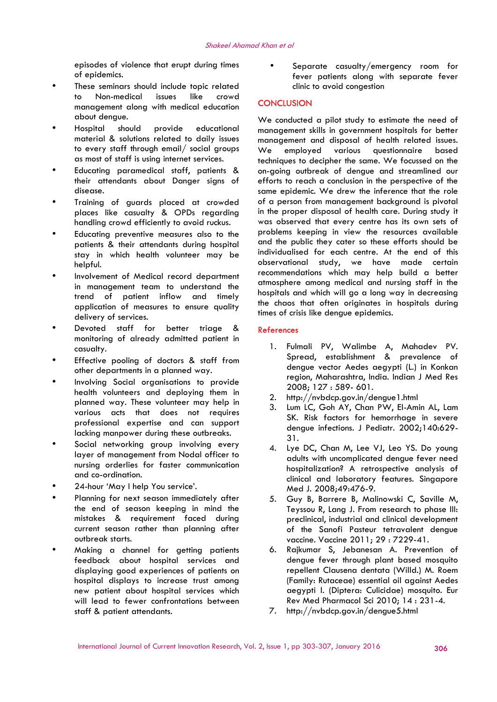episodes of violence that erupt during times of epidemics.

- These seminars should include topic related to Non-medical issues like crowd management along with medical education about dengue.
- Hospital should provide educational material & solutions related to daily issues to every staff through email/ social groups We as most of staff is using internet services.
- Educating paramedical staff, patients & their attendants about Danger signs of disease.
- Training of guards placed at crowded places like casualty & OPDs regarding handling crowd efficiently to avoid ruckus.
- Educating preventive measures also to the patients & their attendants during hospital stay in which health volunteer may be helpful.
- Involvement of Medical record department in management team to understand the trend of patient inflow and timely application of measures to ensure quality delivery of services.
- Devoted staff for better triage & monitoring of already admitted patient in casualty.
- Effective pooling of doctors & staff from other departments in a planned way.
- Involving Social organisations to provide health volunteers and deploying them in planned way. These volunteer may help in various acts that does not requires professional expertise and can support lacking manpower during these outbreaks.
- Social networking group involving every layer of management from Nodal officer to nursing orderlies for faster communication and co-ordination.
- 24-hour 'May I help You service'.
- Planning for next season immediately after the end of season keeping in mind the mistakes & requirement faced during current season rather than planning after outbreak starts.
- Making a channel for getting patients feedback about hospital services and displaying good experiences of patients on hospital displays to increase trust among new patient about hospital services which will lead to fewer confrontations between staff & patient attendants.

 Separate casualty/emergency room for fever patients along with separate fever clinic to avoid congestion

#### **CONCLUSION**

We conducted a pilot study to estimate the need of management skills in government hospitals for better management and disposal of health related issues. employed various questionnaire based techniques to decipher the same. We focussed on the on-going outbreak of dengue and streamlined our efforts to reach a conclusion in the perspective of the same epidemic. We drew the inference that the role of a person from management background is pivotal in the proper disposal of health care. During study it was observed that every centre has its own sets of problems keeping in view the resources available and the public they cater so these efforts should be individualised for each centre. At the end of this observational study, we have made certain recommendations which may help build a better atmosphere among medical and nursing staff in the hospitals and which will go a long way in decreasing the chaos that often originates in hospitals during times of crisis like dengue epidemics.

#### **References**

- 1. Fulmali PV, Walimbe A, Mahadev PV. Spread, establishment & prevalence of dengue vector Aedes aegypti (L.) in Konkan region, Maharashtra, India. Indian J Med Res 2008; 127 : 589- 601.
- 2. http://nvbdcp.gov.in/dengue1.html
- 3. Lum LC, Goh AY, Chan PW, El-Amin AL, Lam SK. Risk factors for hemorrhage in severe dengue infections. J Pediatr. 2002;140:629- 31.
- 4. Lye DC, Chan M, Lee VJ, Leo YS. Do young adults with uncomplicated dengue fever need hospitalization? A retrospective analysis of clinical and laboratory features. Singapore Med J. 2008;49:476-9.
- 5. Guy B, Barrere B, Malinowski C, Saville M, Teyssou R, Lang J. From research to phase III: preclinical, industrial and clinical development of the Sanofi Pasteur tetravalent dengue vaccine. Vaccine 2011; 29 : 7229-41.
- 6. Rajkumar S, Jebanesan A. Prevention of dengue fever through plant based mosquito repellent Clausena dentata (Willd.) M. Roem (Family: Rutaceae) essential oil against Aedes aegypti l. (Diptera: Culicidae) mosquito. Eur Rev Med Pharmacol Sci 2010; 14 : 231-4.
- 7. http://nvbdcp.gov.in/dengue5.html